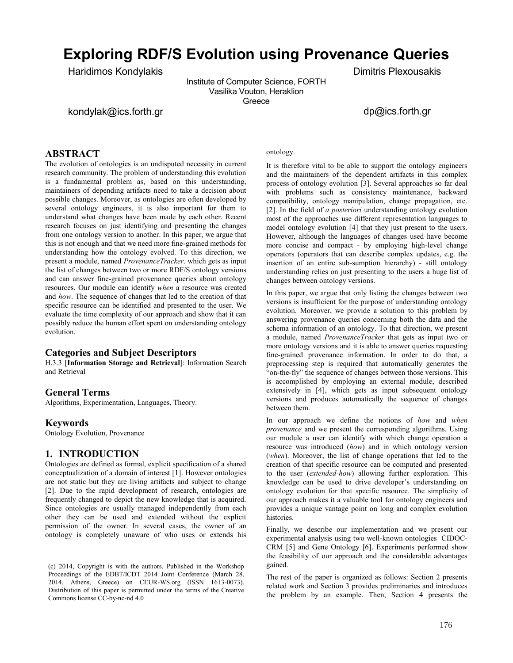# **Exploring RDF/S Evolution using Provenance Queries**

Haridimos Kondylakis

Institute of Computer Science, FORTH Vasilika Vouton, Heraklion Greece

# kondylak@ics.forth.gr

dp@ics.forth.gr

Dimitris Plexousakis

# **ABSTRACT**

The evolution of ontologies is an undisputed necessity in current research community. The problem of understanding this evolution is a fundamental problem as, based on this understanding, maintainers of depending artifacts need to take a decision about possible changes. Moreover, as ontologies are often developed by several ontology engineers, it is also important for them to understand what changes have been made by each other. Recent research focuses on just identifying and presenting the changes from one ontology version to another. In this paper, we argue that this is not enough and that we need more fine-grained methods for understanding how the ontology evolved. To this direction, we present a module, named *ProvenanceTracker,* which gets as input the list of changes between two or more RDF/S ontology versions and can answer fine-grained provenance queries about ontology resources. Our module can identify *when* a resource was created and *how*. The sequence of changes that led to the creation of that specific resource can be identified and presented to the user. We evaluate the time complexity of our approach and show that it can possibly reduce the human effort spent on understanding ontology evolution.

## **Categories and Subject Descriptors**

H.3.3 [**Information Storage and Retrieval**]: Information Search and Retrieval

## **General Terms**

Algorithms, Experimentation, Languages, Theory.

## **Keywords**

Ontology Evolution, Provenance

## **1. INTRODUCTION**

Ontologies are defined as formal, explicit specification of a shared conceptualization of a domain of interest [1]. However ontologies are not static but they are living artifacts and subject to change [2]. Due to the rapid development of research, ontologies are frequently changed to depict the new knowledge that is acquired. Since ontologies are usually managed independently from each other they can be used and extended without the explicit permission of the owner. In several cases, the owner of an ontology is completely unaware of who uses or extends his

ontology.

It is therefore vital to be able to support the ontology engineers and the maintainers of the dependent artifacts in this complex process of ontology evolution [3]. Several approaches so far deal with problems such as consistency maintenance, backward compatibility, ontology manipulation, change propagation, etc. [2]. In the field of *a posteriori* understanding ontology evolution most of the approaches use different representation languages to model ontology evolution [4] that they just present to the users. However, although the languages of changes used have become more concise and compact - by employing high-level change operators (operators that can describe complex updates, e.g. the insertion of an entire sub-sumption hierarchy) - still ontology understanding relies on just presenting to the users a huge list of changes between ontology versions.

In this paper, we argue that only listing the changes between two versions is insufficient for the purpose of understanding ontology evolution. Moreover, we provide a solution to this problem by answering provenance queries concerning both the data and the schema information of an ontology. To that direction, we present a module, named *ProvenanceTracker* that gets as input two or more ontology versions and it is able to answer queries requesting fine-grained provenance information. In order to do that, a preprocessing step is required that automatically generates the "on-the-fly" the sequence of changes between those versions. This is accomplished by employing an external module, described extensively in [4], which gets as input subsequent ontology versions and produces automatically the sequence of changes between them.

In our approach we define the notions of *how* and *when provenance* and we present the corresponding algorithms. Using our module a user can identify with which change operation a resource was introduced (*how*) and in which ontology version (*when*). Moreover, the list of change operations that led to the creation of that specific resource can be computed and presented to the user (*extended-how*) allowing further exploration. This knowledge can be used to drive developer's understanding on ontology evolution for that specific resource. The simplicity of our approach makes it a valuable tool for ontology engineers and provides a unique vantage point on long and complex evolution histories.

Finally, we describe our implementation and we present our experimental analysis using two well-known ontologies CIDOC-CRM [5] and Gene Ontology [6]. Experiments performed show the feasibility of our approach and the considerable advantages gained.

The rest of the paper is organized as follows: Section 2 presents related work and Section 3 provides preliminaries and introduces the problem by an example. Then, Section 4 presents the

<sup>(</sup>c) 2014, Copyright is with the authors. Published in the Workshop Proceedings of the EDBT/ICDT 2014 Joint Conference (March 28, 2014, Athens, Greece) on CEUR-WS.org (ISSN 1613-0073). Distribution of this paper is permitted under the terms of the Creative Commons license CC-by-nc-nd 4.0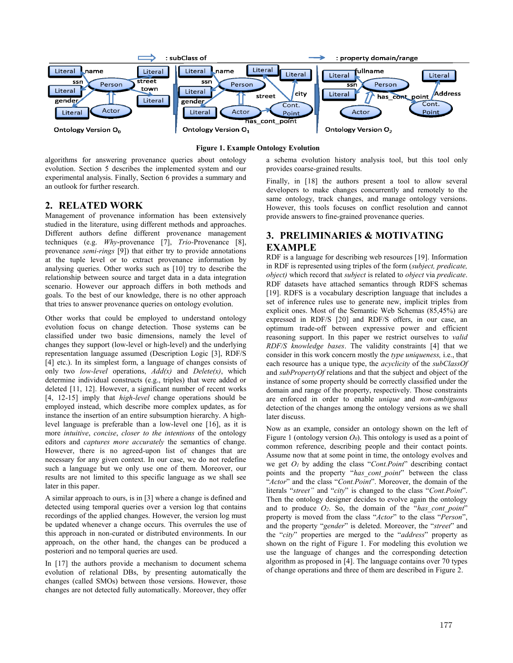

#### **Figure 1. Example Ontology Evolution**

algorithms for answering provenance queries about ontology evolution. Section 5 describes the implemented system and our experimental analysis. Finally, Section 6 provides a summary and an outlook for further research.

# **2. RELATED WORK**

Management of provenance information has been extensively studied in the literature, using different methods and approaches. Different authors define different provenance management techniques (e.g. *Why*-provenance [7], *Trio-*Provenance [8], provenance *semi-rings* [9]) that either try to provide annotations at the tuple level or to extract provenance information by analysing queries. Other works such as [10] try to describe the relationship between source and target data in a data integration scenario. However our approach differs in both methods and goals. To the best of our knowledge, there is no other approach that tries to answer provenance queries on ontology evolution.

Other works that could be employed to understand ontology evolution focus on change detection. Those systems can be classified under two basic dimensions, namely the level of changes they support (low-level or high-level) and the underlying representation language assumed (Description Logic [3], RDF/S [4] etc.). In its simplest form, a language of changes consists of only two *low-level* operations, *Add(x)* and *Delete(x)*, which determine individual constructs (e.g., triples) that were added or deleted [11, 12]. However, a significant number of recent works [4, 12-15] imply that *high-level* change operations should be employed instead, which describe more complex updates, as for instance the insertion of an entire subsumption hierarchy. A highlevel language is preferable than a low-level one [16], as it is more *intuitive*, *concise*, *closer to the intentions* of the ontology editors and *captures more accurately* the semantics of change. However, there is no agreed-upon list of changes that are necessary for any given context. In our case, we do not redefine such a language but we only use one of them. Moreover, our results are not limited to this specific language as we shall see later in this paper.

A similar approach to ours, is in [3] where a change is defined and detected using temporal queries over a version log that contains recordings of the applied changes. However, the version log must be updated whenever a change occurs. This overrules the use of this approach in non-curated or distributed environments. In our approach, on the other hand, the changes can be produced a posteriori and no temporal queries are used.

In [17] the authors provide a mechanism to document schema evolution of relational DBs, by presenting automatically the changes (called SMOs) between those versions. However, those changes are not detected fully automatically. Moreover, they offer

a schema evolution history analysis tool, but this tool only provides coarse-grained results.

Finally, in [18] the authors present a tool to allow several developers to make changes concurrently and remotely to the same ontology, track changes, and manage ontology versions. However, this tools focuses on conflict resolution and cannot provide answers to fine-grained provenance queries.

# **3. PRELIMINARIES & MOTIVATING EXAMPLE**

RDF is a language for describing web resources [19]. Information in RDF is represented using triples of the form (*subject, predicate, object)* which record that *subject* is related to *object* via *predicate*. RDF datasets have attached semantics through RDFS schemas [19]. RDFS is a vocabulary description language that includes a set of inference rules use to generate new, implicit triples from explicit ones. Most of the Semantic Web Schemas (85,45%) are expressed in RDF/S [20] and RDF/S offers, in our case, an optimum trade-off between expressive power and efficient reasoning support. In this paper we restrict ourselves to *valid RDF/S knowledge bases*. The validity constraints [4] that we consider in this work concern mostly the *type uniqueness,* i.e., that each resource has a unique type, the *acyclicity* of the *subClassOf* and *subPropertyOf* relations and that the subject and object of the instance of some property should be correctly classified under the domain and range of the property, respectively. Those constraints are enforced in order to enable *unique* and *non-ambiguous* detection of the changes among the ontology versions as we shall later discuss.

Now as an example, consider an ontology shown on the left of Figure 1 (ontology version *O0*). This ontology is used as a point of common reference, describing people and their contact points. Assume now that at some point in time, the ontology evolves and we get *O1* by adding the class "*Cont.Point*" describing contact points and the property "*has\_cont\_point*" between the class "*Actor*" and the class "*Cont.Point*". Moreover, the domain of the literals "*street"* and "*city*" is changed to the class "*Cont.Point*". Then the ontology designer decides to evolve again the ontology and to produce  $O_2$ . So, the domain of the "*has cont point*" property is moved from the class "*Actor*" to the class "*Person*", and the property "*gender*" is deleted. Moreover, the "*street*" and the "*city*" properties are merged to the "*address*" property as shown on the right of Figure 1. For modeling this evolution we use the language of changes and the corresponding detection algorithm as proposed in [4]. The language contains over 70 types of change operations and three of them are described in Figure 2.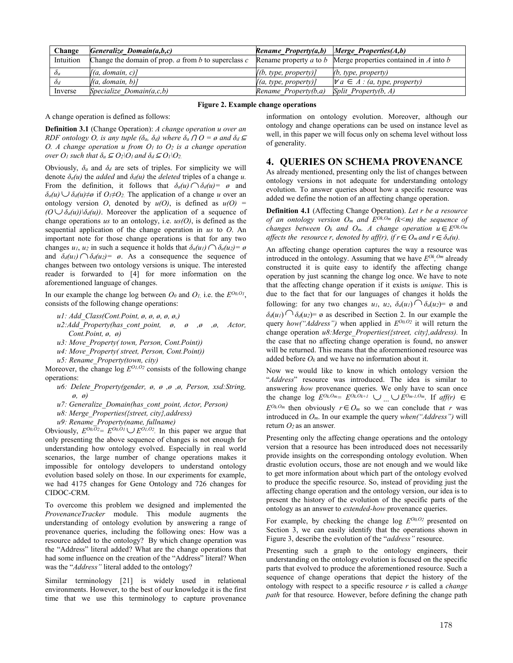| Change       | Generalize Domain(a,b,c)                                  | <b>Rename_Property(a,b)</b>   Merge_Properties(A,b) |                                                                       |
|--------------|-----------------------------------------------------------|-----------------------------------------------------|-----------------------------------------------------------------------|
| Intuition    | Change the domain of prop. $a$ from $b$ to superclass $c$ |                                                     | Rename property $a$ to $b$ Merge properties contained in $A$ into $b$ |
| $\partial_a$ | [(a, domain, c)]                                          | [(b, type, property)]                               | (b, type, property)                                                   |
| $\delta_d$   | [(a, domain, b)]                                          | [(a, type, property)]                               | $\forall a \in A : (a, type, property)$                               |
| Inverse      | Specialize Domain $(a, c, b)$                             | Rename Property $(b,a)$                             | Split Property(b, A)                                                  |

#### **Figure 2. Example change operations**

A change operation is defined as follows:

**Definition 3.1** (Change Operation): *A change operation u over an RDF ontology O, is any tuple (* $\delta$ *<sub><i>a*</sub>,  $\delta$ *d) where*  $\delta$ *a*  $\Omega$  *O = ø and*  $\delta$ *d*  $\subseteq$ *O. A change operation u from*  $O<sub>l</sub>$  *to*  $O<sub>2</sub>$  *is a change operation over*  $O_1$  *such that*  $\delta_a \subseteq O_2 \setminus O_1$  *and*  $\delta_d \subseteq O_1 \setminus O_2$ .

Obviously,  $\delta_a$  and  $\delta_d$  are sets of triples. For simplicity we will denote  $\delta_a(u)$  the *added* and  $\delta_d(u)$  the *deleted* triples of a change *u*. From the definition, it follows that  $\delta_a(u) \cap \delta_d(u) = \emptyset$  and  $\delta_a(u) \cup \delta_d(u) \neq \emptyset$  if  $O \neq O_2$ . The application of a change *u* over an ontology version *O*, denoted by  $u(0)$ , is defined as  $u(0)$  =  $(O \cup \delta_a(u))\delta_a(u)$ . Moreover the application of a sequence of change operations *us* to an ontology, i.e. *us(O)*, is defined as the sequential application of the change operation in *us* to *O*. An important note for those change operations is that for any two changes *u<sub>1</sub>*, *u<sub>2</sub>* in such a sequence it holds that  $\delta_a(u_1) \cap \delta_a(u_2) = \emptyset$ and  $\delta_d(u_1) \cap \delta_d(u_2) = \emptyset$ . As a consequence the sequence of changes between two ontology versions is unique. The interested reader is forwarded to [4] for more information on the aforementioned language of changes.

In our example the change log between  $O_0$  and  $O_1$ , i.e. the  $E^{O_0O_1}$ , consists of the following change operations:

- *u1: Add\_Class(Cont.Point, ø, ø, ø, ø, ø,)*
- *u2:Add\_Property(has\_cont\_point, ø, ø ,ø ,ø, Actor, Cont.Point, ø, ø)*
- *u3: Move\_Property( town, Person, Cont.Point))*
- *u4: Move\_Property( street, Person, Cont.Point))*
- *u5: Rename\_Property(town, city)*

Moreover, the change log  $E^{O<sub>L</sub>, O<sub>2</sub>}$  consists of the following change operations:

- *u6: Delete\_Property(gender, ø, ø ,ø ,ø, Person, xsd:String, ø, ø)*
- *u7: Generalize\_Domain(has\_cont\_point, Actor, Person)*
- *u8: Merge\_Properties({street, city},address)*
- *u9: Rename\_Property(name, fullname)*

Obviously,  $E^{00,02} = E^{00,01} \cup E^{01,02}$ . In this paper we argue that only presenting the above sequence of changes is not enough for understanding how ontology evolved. Especially in real world scenarios, the large number of change operations makes it impossible for ontology developers to understand ontology evolution based solely on those. In our experiments for example, we had 4175 changes for Gene Ontology and 726 changes for CIDOC-CRM.

To overcome this problem we designed and implemented the *ProvenanceTracker* module. This module augments the understanding of ontology evolution by answering a range of provenance queries, including the following ones: How was a resource added to the ontology? By which change operation was the "Address" literal added? What are the change operations that had some influence on the creation of the "Address" literal? When was the "*Address"* literal added to the ontology?

Similar terminology [21] is widely used in relational environments. However, to the best of our knowledge it is the first time that we use this terminology to capture provenance

information on ontology evolution. Moreover, although our ontology and change operations can be used on instance level as well, in this paper we will focus only on schema level without loss of generality.

# **4. QUERIES ON SCHEMA PROVENANCE**

As already mentioned, presenting only the list of changes between ontology versions in not adequate for understanding ontology evolution. To answer queries about how a specific resource was added we define the notion of an affecting change operation.

**Definition 4.1** (Affecting Change Operation). *Let r be a resource of an ontology version O<sub>m</sub> and*  $E^{Ok, Om}$  *(k*  $\leq m$ *) the sequence of changes between*  $O_k$  *and*  $O_m$ . A change operation  $u \in E^{Ok, O_m}$ *affects the resource r, denoted by aff(r), if*  $r \in O_m$  *and*  $r \in \delta_a(u)$ *.* 

An affecting change operation captures the way a resource was introduced in the ontology. Assuming that we have  $E^{Ok}$ ,  $^{Om}$  already constructed it is quite easy to identify the affecting change operation by just scanning the change log once. We have to note that the affecting change operation if it exists is *unique*. This is due to the fact that for our languages of changes it holds the following: for any two changes  $u_1$ ,  $u_2$ ,  $\delta_a(u_1) \cap \delta_a(u_2) = \emptyset$  and  $\delta_d(u) \cap \delta_d(u) = \emptyset$  as described in Section 2. In our example the query *how("Address")* when applied in  $E^{O_0O_2}$  it will return the change operation *u8:Merge\_Properties({street, city},address).* In the case that no affecting change operation is found, no answer will be returned. This means that the aforementioned resource was added before  $Q_k$  and we have no information about it.

Now we would like to know in which ontology version the "*Address*" resource was introduced. The idea is similar to answering *how* provenance queries. We only have to scan once the change  $\log E^{Ok, Om} = E^{Ok, Ok+1}$   $\cup$   $\cup$   $E^{Om-1, Om}$ . If  $aff(r) \in$  $E^{O_kO_m}$  then obviously  $r \in O_m$  so we can conclude that *r* was introduced in *Om*. In our example the query *when("Address")* will return *O2* as an answer*.*

Presenting only the affecting change operations and the ontology version that a resource has been introduced does not necessarily provide insights on the corresponding ontology evolution. When drastic evolution occurs, those are not enough and we would like to get more information about which part of the ontology evolved to produce the specific resource. So, instead of providing just the affecting change operation and the ontology version, our idea is to present the history of the evolution of the specific parts of the ontology as an answer to *extended-how* provenance queries.

For example, by checking the change log  $E^{O0,O2}$  presented on Section 3, we can easily identify that the operations shown in Figure 3, describe the evolution of the "*address"* resource.

Presenting such a graph to the ontology engineers, their understanding on the ontology evolution is focused on the specific parts that evolved to produce the aforementioned resource. Such a sequence of change operations that depict the history of the ontology with respect to a specific resource *r* is called a *change path* for that resource*.* However, before defining the change path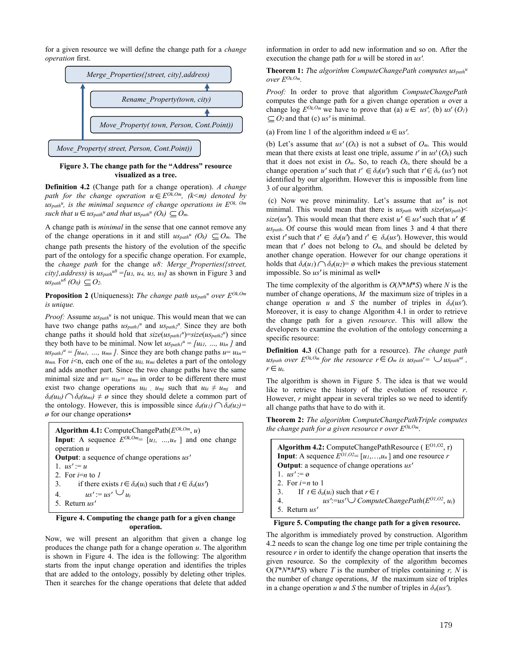for a given resource we will define the change path for a *change operation* first.



#### **Figure 3. The change path for the "Address" resource visualized as a tree.**

**Definition 4.2** (Change path for a change operation). *A change path for the change operation*  $u \in E^{O\bar{k}, Om}$ *, (k<m)* denoted by us<sub>path</sub><sup>u</sup>, is the minimal sequence of change operations in  $E^{Ok, \text{ }Om}$ *such that*  $u \in u_{Spath}^u$  *and that*  $u_{Spath}^u$  *(O<sub>k</sub>)*  $\subset O_m$ .

A change path is *minimal* in the sense that one cannot remove any of the change operations in it and still  $u_{Spath}^u$  (O<sub>k</sub>)  $\subset O_m$ . The change path presents the history of the evolution of the specific part of the ontology for a specific change operation. For example, the *change path* for the change *u8: Merge\_Properties({street,*   $city$ , *address*) is  $us_{path}^{u8} = [u_3, u_4, u_5, u_8]$  as shown in Figure 3 and  $u$ *Spath*<sup>u8</sup> (O<sub>0</sub>)  $\subset$  O<sub>2</sub>.

**Proposition 2** (Uniqueness): *The change path uspath<sup>u</sup> over*  $E^{Ok, Om}$ *is unique.*

*Proof:* Assume  $u_{\text{Spath}}^u$  is not unique. This would mean that we can have two change paths  $u_{Spathl}$ <sup>u</sup> and  $u_{Spath2}$ <sup>u</sup>. Since they are both change paths it should hold that  $size(us_{path1}u)=size(us_{path2}u)$  since they both have to be minimal. Now let  $u s_{path1}^u = \{u_{kl}, ..., u_{kn}\}\$  and  $u$ *s*<sub>path1</sub><sup>*u*</sup> = [ $u$ <sub>*m*1</sub>*, ...,*  $u$ <sub>*mn*</sub>]. Since they are both change paths  $u = u_{kn}$  $u_{mn}$ . For *i*  $\leq$ n, each one of the *u<sub>ki</sub>*,  $u_{mi}$  deletes a part of the ontology and adds another part. Since the two change paths have the same minimal size and  $u = u_{kn} = u_{mn}$  in order to be different there must exist two change operations  $u_{ki}$ ,  $u_{mj}$  such that  $u_{ki} \neq u_{mj}$  and  $\delta_d(u_{ki}) \cap \delta_d(u_{mi}) \neq \emptyset$  since they should delete a common part of the ontology. However, this is impossible since  $\delta_d(u_l) \bigcap \delta_d(u_2) =$  $\varnothing$  for our change operations

**Algorithm 4.1:** ComputeChangePath(
$$
E^{Ok, Om}
$$
, *u*)  
\n**Input:** A sequence  $E^{Ok, Om} = [u_1, ..., u_n]$  and one change  
\noperation *u*  
\n**Output:** a sequence of change operations *us'*  
\n1. *us' := u*  
\n2. For *i=n* to *l*  
\n3. if there exists  $t \in \delta_d(u_i)$  such that  $t \in \delta_a(us'$   
\n4. *us' := us' \cup u\_i*  
\n5. Return *us'*

#### **Figure 4. Computing the change path for a given change operation.**

Now, we will present an algorithm that given a change log produces the change path for a change operation *u*. The algorithm is shown in Figure 4. The idea is the following: The algorithm starts from the input change operation and identifies the triples that are added to the ontology, possibly by deleting other triples. Then it searches for the change operations that delete that added

information in order to add new information and so on. After the execution the change path for *u* will be stored in *us*<sup>*'*</sup>.

**Theorem 1:** *T*he *algorithm ComputeChangePath computes uspathu over EOk,Om.*

*Proof:* In order to prove that algorithm *ComputeChangePath* computes the change path for a given change operation *u* over a change  $\log E^{Ok, Om}$  we have to prove that (a)  $u \in \mathcal{U}$  *us'*, (b)  $u s'$  (O<sub>1</sub>)  $\subset O_2$  and that (c) *us'* is minimal.

(a) From line 1 of the algorithm indeed  $u \in us'$ .

(b) Let's assume that  $us'(O_k)$  is not a subset of  $O_m$ . This would mean that there exists at least one triple, assume  $t'$  in  $us'(O_k)$  such that it does not exist in  $O_m$ . So, to reach  $O_k$ , there should be a change operation *u'* such that  $t' \in \delta_d(u')$  such that  $t' \in \delta_a(u s')$  not identified by our algorithm. However this is impossible from line 3 of our algorithm.

(c) Now we prove minimality. Let's assume that *us'* is not minimal. This would mean that there is *uspath* with *size*(*uspath*)< *size*(*us*<sup> $\prime$ </sup>). This would mean that there exist  $u' \in u$ <sup>*s*</sup> such that  $u' \notin$ *uspath*. Of course this would mean from lines 3 and 4 that there exist *t'* such that  $t' \in \delta_d(u')$  and  $t' \in \delta_a(us')$ . However, this would mean that  $t'$  does not belong to  $O_m$ , and should be deleted by another change operation. However for our change operations it holds that  $\delta_d(u) \cap \delta_d(u) = \emptyset$  which makes the previous statement impossible. So us' is minimal as well<sup>•</sup>

The time complexity of the algorithm is *O*(*N*\**M*\**S*) where *N* is the number of change operations, *M* the maximum size of triples in a change operation *u* and *S* the number of triples in  $\delta_a (us')$ . Moreover, it is easy to change Algorithm 4.1 in order to retrieve the change path for a given *resource*. This will allow the developers to examine the evolution of the ontology concerning a specific resource:

**Definition 4.3** (Change path for a resource). *The change path uspath over*  $E^{Ok, Om}$  *for the resource*  $r \in O_m$  *is uspath*<sup> $r = \bigcup u$  *spath*<sup> $ui$ </sup> *,*</sup>  $r \in u_i$ .

The algorithm is shown in Figure 5. The idea is that we would like to retrieve the history of the evolution of resource *r*. However, *r* might appear in several triples so we need to identify all change paths that have to do with it.

**Theorem 2:** *The algorithm ComputeChangePathTriple computes the change path for a given resource r over EOk,Om*.

Algorithm 4.2: ComputeChangePathResource ( $E^{O1,O2}$ , r) **Input**: A sequence  $E^{01,02} = [u_1,...,u_n]$  and one resource *r* **Output**: a sequence of change operations *us'* 1.  $us' := \emptyset$ 2. For *i=n* to 1 3. If  $t \in \delta_a(u_i)$  such that  $r \in t$ 4.  $us' := us' \cup ComputeChangePath(E^{01,02}, u_i)$ 5. Return *us*<sup>*i*</sup>

**Figure 5. Computing the change path for a given resource.**

The algorithm is immediately proved by construction. Algorithm 4.2 needs to scan the change log one time per triple containing the resource *r* in order to identify the change operation that inserts the given resource. So the complexity of the algorithm becomes  $O(T^*N^*M^*S)$  where *T* is the number of triples containing *r*, *N* is the number of change operations, *M* the maximum size of triples in a change operation *u* and *S* the number of triples in  $\delta_a(us')$ .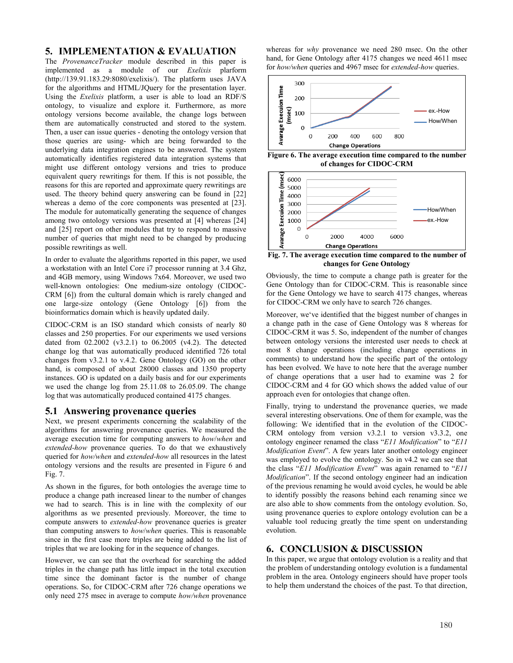# **5. IMPLEMENTATION & EVALUATION**

The *ProvenanceTracker* module described in this paper is implemented as a module of our *Exelixis* plarform (http://139.91.183.29:8080/exelixis/). The platform uses JAVA for the algorithms and HTML/JQuery for the presentation layer. Using the *Exelixis* platform, a user is able to load an RDF/S ontology, to visualize and explore it. Furthermore, as more ontology versions become available, the change logs between them are automatically constructed and stored to the system. Then, a user can issue queries - denoting the ontology version that those queries are using- which are being forwarded to the underlying data integration engines to be answered. The system automatically identifies registered data integration systems that might use different ontology versions and tries to produce equivalent query rewritings for them. If this is not possible, the reasons for this are reported and approximate query rewritings are used. The theory behind query answering can be found in [22] whereas a demo of the core components was presented at [23]. The module for automatically generating the sequence of changes among two ontology versions was presented at [4] whereas [24] and [25] report on other modules that try to respond to massive number of queries that might need to be changed by producing possible rewritings as well.

In order to evaluate the algorithms reported in this paper, we used a workstation with an Intel Core i7 processor running at 3.4 Ghz, and 4GB memory, using Windows 7x64. Moreover, we used two well-known ontologies: One medium-size ontology (CIDOC-CRM [6]) from the cultural domain which is rarely changed and one large-size ontology (Gene Ontology [6]) from the bioinformatics domain which is heavily updated daily.

CIDOC-CRM is an ISO standard which consists of nearly 80 classes and 250 properties. For our experiments we used versions dated from 02.2002 (v3.2.1) to 06.2005 (v4.2). The detected change log that was automatically produced identified 726 total changes from v3.2.1 to v.4.2. Gene Ontology (GO) on the other hand, is composed of about 28000 classes and 1350 property instances. GO is updated on a daily basis and for our experiments we used the change log from 25.11.08 to 26.05.09. The change log that was automatically produced contained 4175 changes.

## **5.1 Answering provenance queries**

Next, we present experiments concerning the scalability of the algorithms for answering provenance queries. We measured the average execution time for computing answers to *how*/*when* and *extended-how* provenance queries. To do that we exhaustively queried for *how/when* and *extended-how* all resources in the latest ontology versions and the results are presented in Figure 6 and Fig. 7.

As shown in the figures, for both ontologies the average time to produce a change path increased linear to the number of changes we had to search. This is in line with the complexity of our algorithms as we presented previously. Moreover, the time to compute answers to *extended-how* provenance queries is greater than computing answers to *how*/*when* queries. This is reasonable since in the first case more triples are being added to the list of triples that we are looking for in the sequence of changes.

However, we can see that the overhead for searching the added triples in the change path has little impact in the total execution time since the dominant factor is the number of change operations. So, for CIDOC-CRM after 726 change operations we only need 275 msec in average to compute *how/when* provenance whereas for *why* provenance we need 280 msec. On the other hand, for Gene Ontology after 4175 changes we need 4611 msec for *how/when* queries and 4967 msec for *extended-how* queries.



**Figure 6. The average execution time compared to the number of changes for CIDOC-CRM**



**Fig. 7. The average execution time compared to the number of changes for Gene Ontology**

Obviously, the time to compute a change path is greater for the Gene Ontology than for CIDOC-CRM. This is reasonable since for the Gene Ontology we have to search 4175 changes, whereas for CIDOC-CRM we only have to search 726 changes.

Moreover, we've identified that the biggest number of changes in a change path in the case of Gene Ontology was 8 whereas for CIDOC-CRM it was 5. So, independent of the number of changes between ontology versions the interested user needs to check at most 8 change operations (including change operations in comments) to understand how the specific part of the ontology has been evolved. We have to note here that the average number of change operations that a user had to examine was 2 for CIDOC-CRM and 4 for GO which shows the added value of our approach even for ontologies that change often.

Finally, trying to understand the provenance queries, we made several interesting observations. One of them for example, was the following: We identified that in the evolution of the CIDOC-CRM ontology from version v3.2.1 to version v3.3.2, one ontology engineer renamed the class "*E11 Modification*" to "*E11 Modification Event*". A few years later another ontology engineer was employed to evolve the ontology. So in v4.2 we can see that the class "*E11 Modification Event*" was again renamed to "*E11 Modification*". If the second ontology engineer had an indication of the previous renaming he would avoid cycles, he would be able to identify possibly the reasons behind each renaming since we are also able to show comments from the ontology evolution. So, using provenance queries to explore ontology evolution can be a valuable tool reducing greatly the time spent on understanding evolution.

# **6. CONCLUSION & DISCUSSION**

In this paper, we argue that ontology evolution is a reality and that the problem of understanding ontology evolution is a fundamental problem in the area. Ontology engineers should have proper tools to help them understand the choices of the past. To that direction,